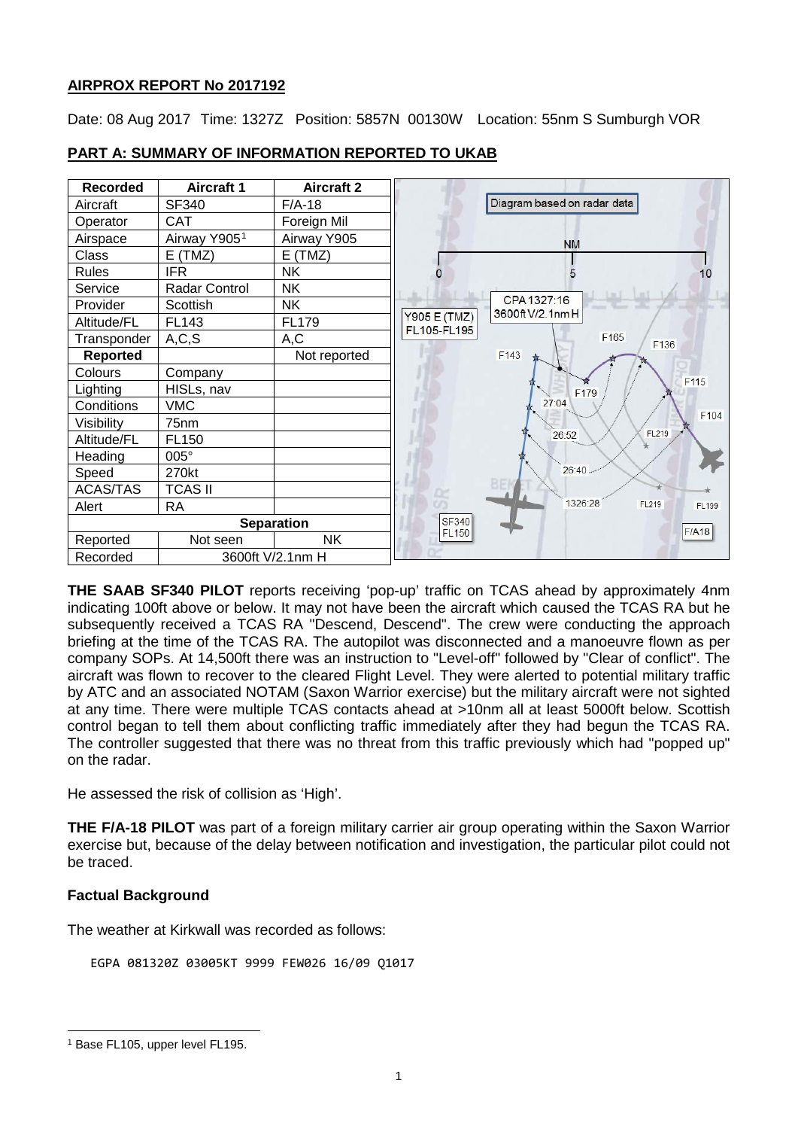# **AIRPROX REPORT No 2017192**

Date: 08 Aug 2017 Time: 1327Z Position: 5857N 00130W Location: 55nm S Sumburgh VOR



# **PART A: SUMMARY OF INFORMATION REPORTED TO UKAB**

**THE SAAB SF340 PILOT** reports receiving 'pop-up' traffic on TCAS ahead by approximately 4nm indicating 100ft above or below. It may not have been the aircraft which caused the TCAS RA but he subsequently received a TCAS RA "Descend, Descend". The crew were conducting the approach briefing at the time of the TCAS RA. The autopilot was disconnected and a manoeuvre flown as per company SOPs. At 14,500ft there was an instruction to "Level-off" followed by "Clear of conflict". The aircraft was flown to recover to the cleared Flight Level. They were alerted to potential military traffic by ATC and an associated NOTAM (Saxon Warrior exercise) but the military aircraft were not sighted at any time. There were multiple TCAS contacts ahead at >10nm all at least 5000ft below. Scottish control began to tell them about conflicting traffic immediately after they had begun the TCAS RA. The controller suggested that there was no threat from this traffic previously which had "popped up" on the radar.

He assessed the risk of collision as 'High'.

**THE F/A-18 PILOT** was part of a foreign military carrier air group operating within the Saxon Warrior exercise but, because of the delay between notification and investigation, the particular pilot could not be traced.

## **Factual Background**

The weather at Kirkwall was recorded as follows:

EGPA 081320Z 03005KT 9999 FEW026 16/09 Q1017

 $\overline{\phantom{a}}$ 

<span id="page-0-0"></span><sup>&</sup>lt;sup>1</sup> Base FL105, upper level FL195.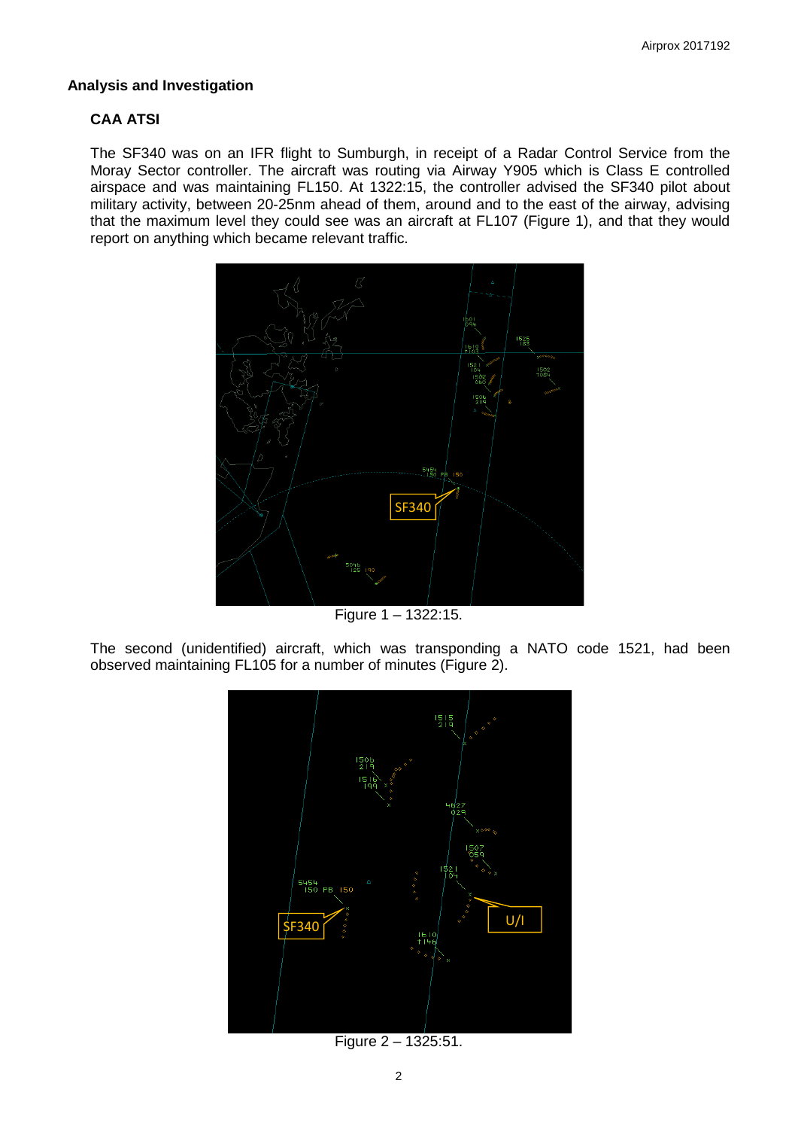#### **Analysis and Investigation**

## **CAA ATSI**

The SF340 was on an IFR flight to Sumburgh, in receipt of a Radar Control Service from the Moray Sector controller. The aircraft was routing via Airway Y905 which is Class E controlled airspace and was maintaining FL150. At 1322:15, the controller advised the SF340 pilot about military activity, between 20-25nm ahead of them, around and to the east of the airway, advising that the maximum level they could see was an aircraft at FL107 (Figure 1), and that they would report on anything which became relevant traffic.



Figure 1 – 1322:15.

The second (unidentified) aircraft, which was transponding a NATO code 1521, had been observed maintaining FL105 for a number of minutes (Figure 2).



Figure 2 – 1325:51.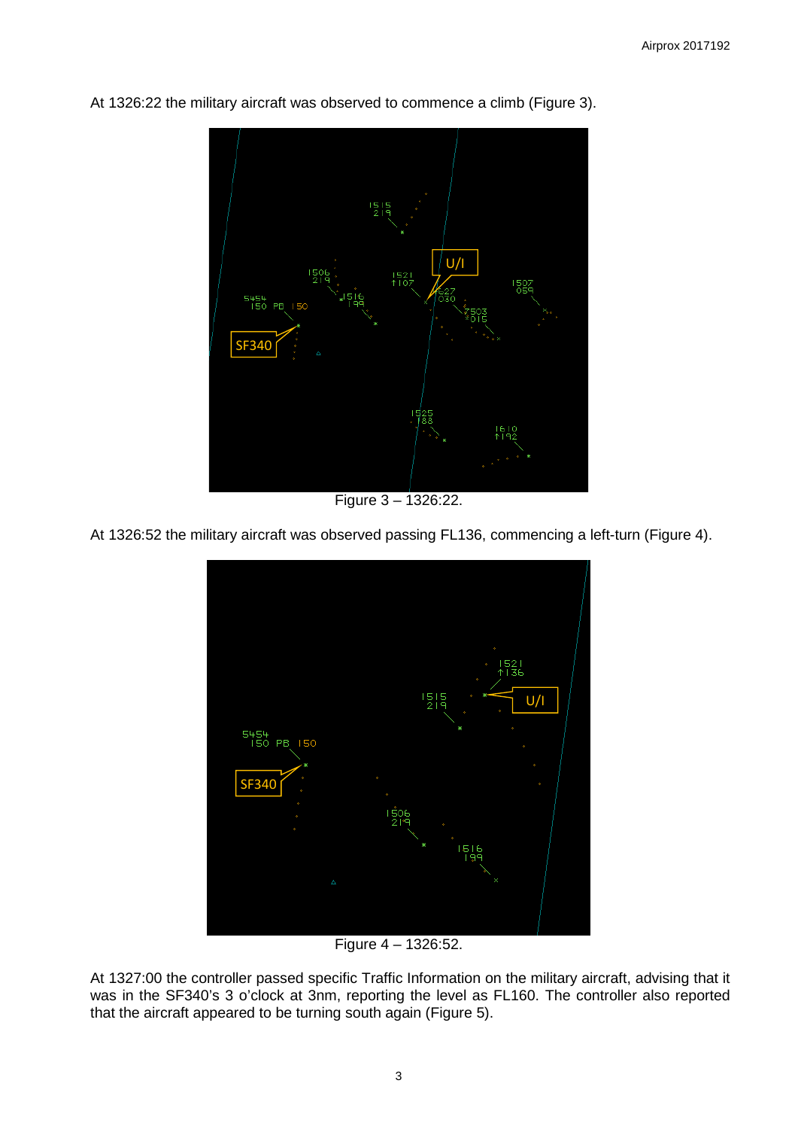

At 1326:22 the military aircraft was observed to commence a climb (Figure 3).

Figure 3 – 1326:22.

At 1326:52 the military aircraft was observed passing FL136, commencing a left-turn (Figure 4).



Figure 4 – 1326:52.

At 1327:00 the controller passed specific Traffic Information on the military aircraft, advising that it was in the SF340's 3 o'clock at 3nm, reporting the level as FL160. The controller also reported that the aircraft appeared to be turning south again (Figure 5).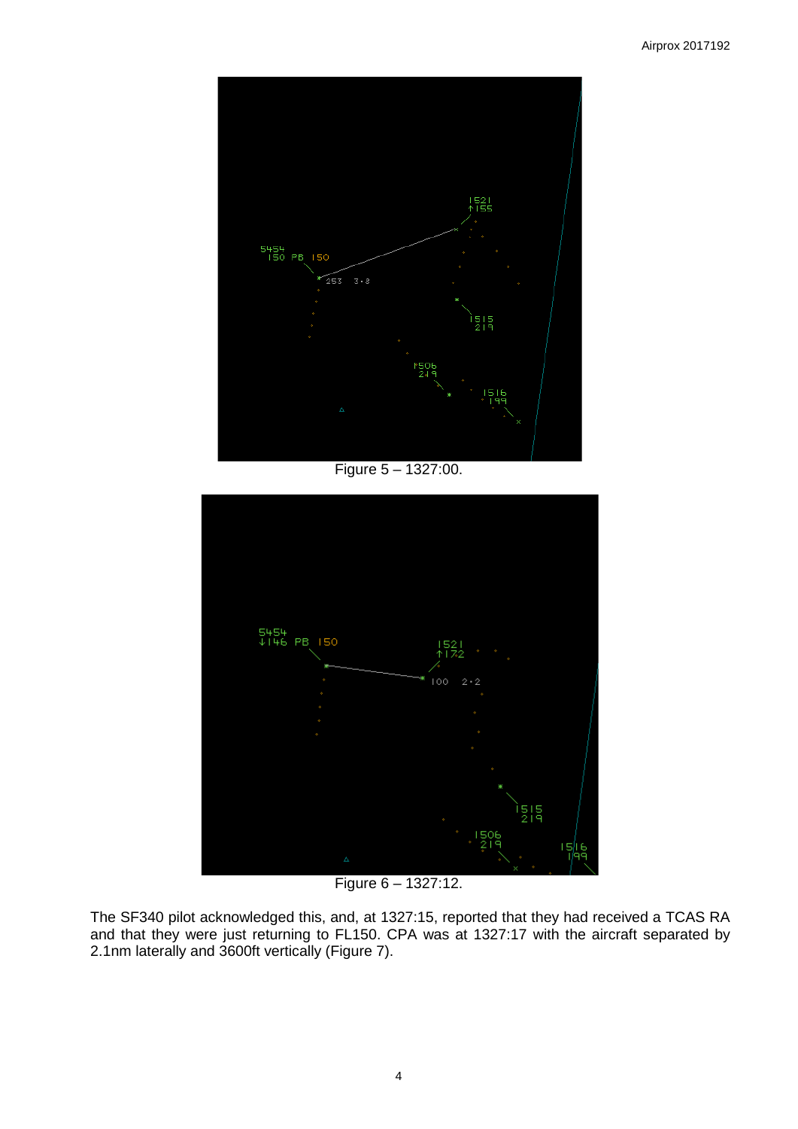

Figure 5 – 1327:00.



Figure 6 – 1327:12.

The SF340 pilot acknowledged this, and, at 1327:15, reported that they had received a TCAS RA and that they were just returning to FL150. CPA was at 1327:17 with the aircraft separated by 2.1nm laterally and 3600ft vertically (Figure 7).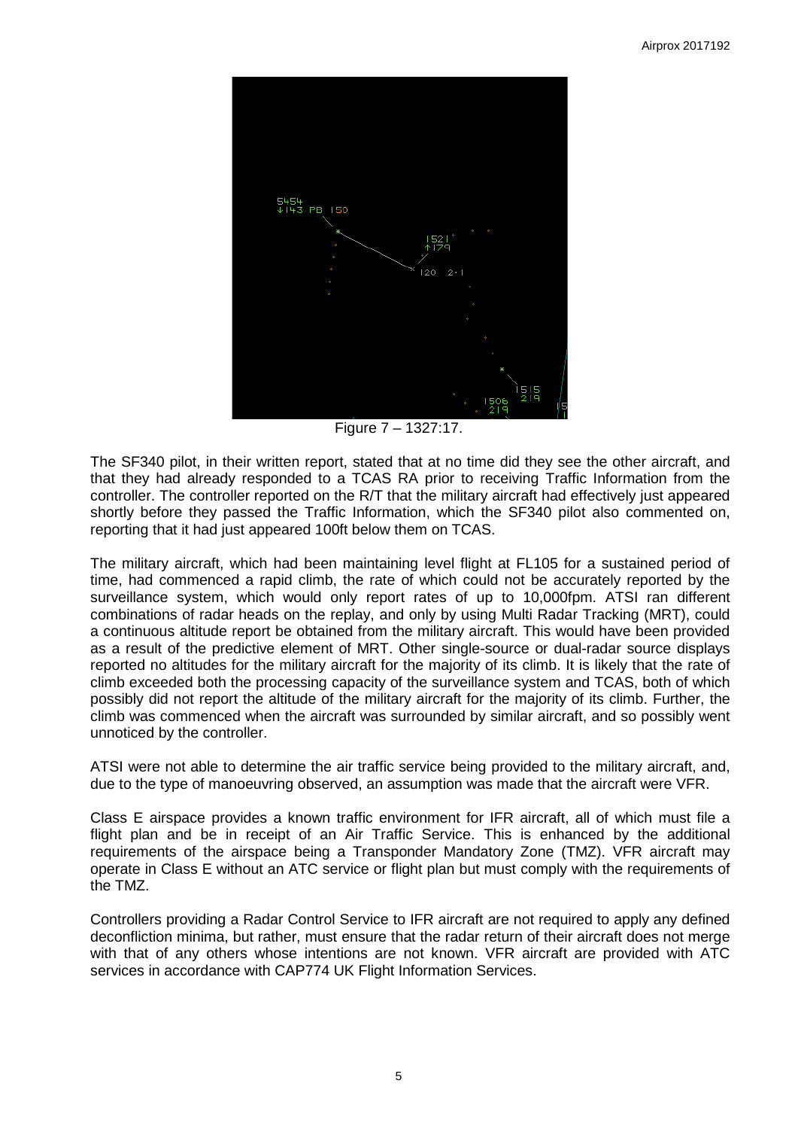

Figure 7 – 1327:17.

The SF340 pilot, in their written report, stated that at no time did they see the other aircraft, and that they had already responded to a TCAS RA prior to receiving Traffic Information from the controller. The controller reported on the R/T that the military aircraft had effectively just appeared shortly before they passed the Traffic Information, which the SF340 pilot also commented on, reporting that it had just appeared 100ft below them on TCAS.

The military aircraft, which had been maintaining level flight at FL105 for a sustained period of time, had commenced a rapid climb, the rate of which could not be accurately reported by the surveillance system, which would only report rates of up to 10,000fpm. ATSI ran different combinations of radar heads on the replay, and only by using Multi Radar Tracking (MRT), could a continuous altitude report be obtained from the military aircraft. This would have been provided as a result of the predictive element of MRT. Other single-source or dual-radar source displays reported no altitudes for the military aircraft for the majority of its climb. It is likely that the rate of climb exceeded both the processing capacity of the surveillance system and TCAS, both of which possibly did not report the altitude of the military aircraft for the majority of its climb. Further, the climb was commenced when the aircraft was surrounded by similar aircraft, and so possibly went unnoticed by the controller.

ATSI were not able to determine the air traffic service being provided to the military aircraft, and, due to the type of manoeuvring observed, an assumption was made that the aircraft were VFR.

Class E airspace provides a known traffic environment for IFR aircraft, all of which must file a flight plan and be in receipt of an Air Traffic Service. This is enhanced by the additional requirements of the airspace being a Transponder Mandatory Zone (TMZ). VFR aircraft may operate in Class E without an ATC service or flight plan but must comply with the requirements of the TMZ.

Controllers providing a Radar Control Service to IFR aircraft are not required to apply any defined deconfliction minima, but rather, must ensure that the radar return of their aircraft does not merge with that of any others whose intentions are not known. VFR aircraft are provided with ATC services in accordance with CAP774 UK Flight Information Services.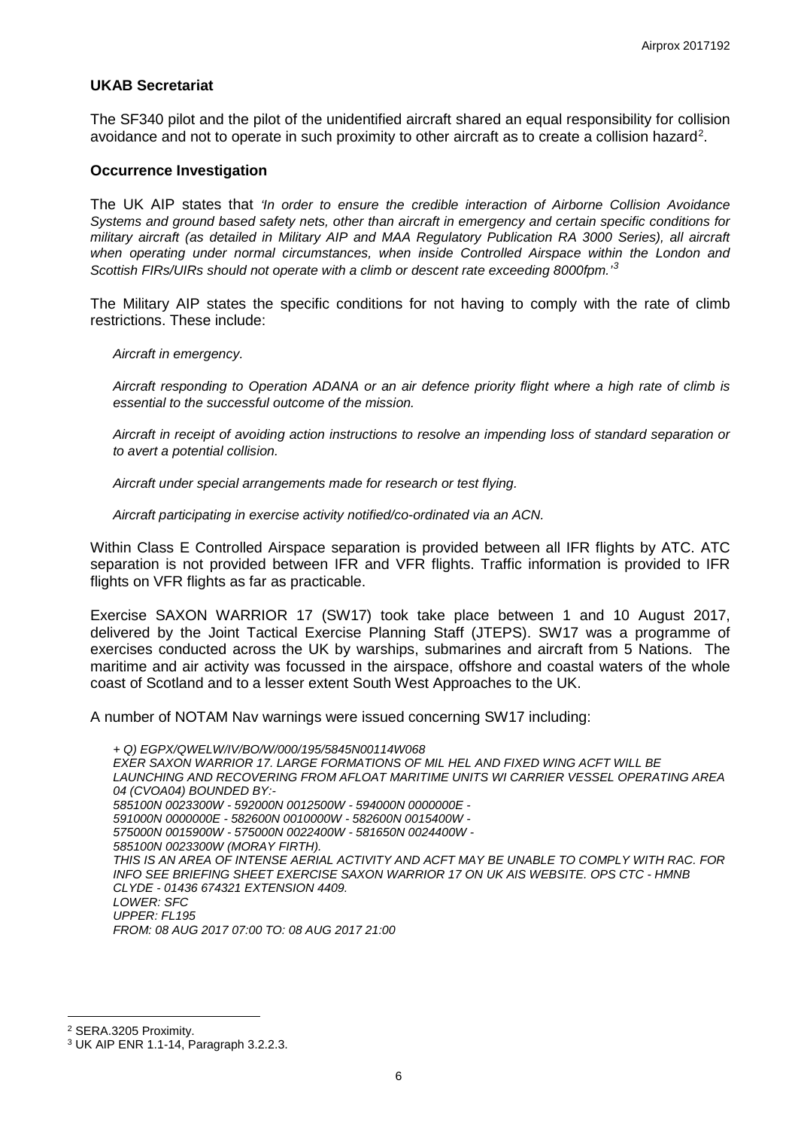#### **UKAB Secretariat**

The SF340 pilot and the pilot of the unidentified aircraft shared an equal responsibility for collision avoidance and not to operate in such proximity to other aircraft as to create a collision hazard<sup>[2](#page-5-0)</sup>.

#### **Occurrence Investigation**

The UK AIP states that *'In order to ensure the credible interaction of Airborne Collision Avoidance Systems and ground based safety nets, other than aircraft in emergency and certain specific conditions for military aircraft (as detailed in Military AIP and MAA Regulatory Publication RA 3000 Series), all aircraft when operating under normal circumstances, when inside Controlled Airspace within the London and Scottish FIRs/UIRs should not operate with a climb or descent rate exceeding 8000fpm.'[3](#page-5-1)*

The Military AIP states the specific conditions for not having to comply with the rate of climb restrictions. These include:

*Aircraft in emergency.* 

*Aircraft responding to Operation ADANA or an air defence priority flight where a high rate of climb is essential to the successful outcome of the mission.* 

*Aircraft in receipt of avoiding action instructions to resolve an impending loss of standard separation or to avert a potential collision.* 

*Aircraft under special arrangements made for research or test flying.* 

*Aircraft participating in exercise activity notified/co-ordinated via an ACN.* 

Within Class E Controlled Airspace separation is provided between all IFR flights by ATC. ATC separation is not provided between IFR and VFR flights. Traffic information is provided to IFR flights on VFR flights as far as practicable.

Exercise SAXON WARRIOR 17 (SW17) took take place between 1 and 10 August 2017, delivered by the Joint Tactical Exercise Planning Staff (JTEPS). SW17 was a programme of exercises conducted across the UK by warships, submarines and aircraft from 5 Nations. The maritime and air activity was focussed in the airspace, offshore and coastal waters of the whole coast of Scotland and to a lesser extent South West Approaches to the UK.

A number of NOTAM Nav warnings were issued concerning SW17 including:

*+ Q) EGPX/QWELW/IV/BO/W/000/195/5845N00114W068 EXER SAXON WARRIOR 17. LARGE FORMATIONS OF MIL HEL AND FIXED WING ACFT WILL BE LAUNCHING AND RECOVERING FROM AFLOAT MARITIME UNITS WI CARRIER VESSEL OPERATING AREA 04 (CVOA04) BOUNDED BY:- 585100N 0023300W - 592000N 0012500W - 594000N 0000000E - 591000N 0000000E - 582600N 0010000W - 582600N 0015400W - 575000N 0015900W - 575000N 0022400W - 581650N 0024400W - 585100N 0023300W (MORAY FIRTH). THIS IS AN AREA OF INTENSE AERIAL ACTIVITY AND ACFT MAY BE UNABLE TO COMPLY WITH RAC. FOR INFO SEE BRIEFING SHEET EXERCISE SAXON WARRIOR 17 ON UK AIS WEBSITE. OPS CTC - HMNB CLYDE - 01436 674321 EXTENSION 4409. LOWER: SFC UPPER: FL195 FROM: 08 AUG 2017 07:00 TO: 08 AUG 2017 21:00*

l

<span id="page-5-0"></span><sup>2</sup> SERA.3205 Proximity.

<span id="page-5-1"></span><sup>3</sup> UK AIP ENR 1.1-14, Paragraph 3.2.2.3.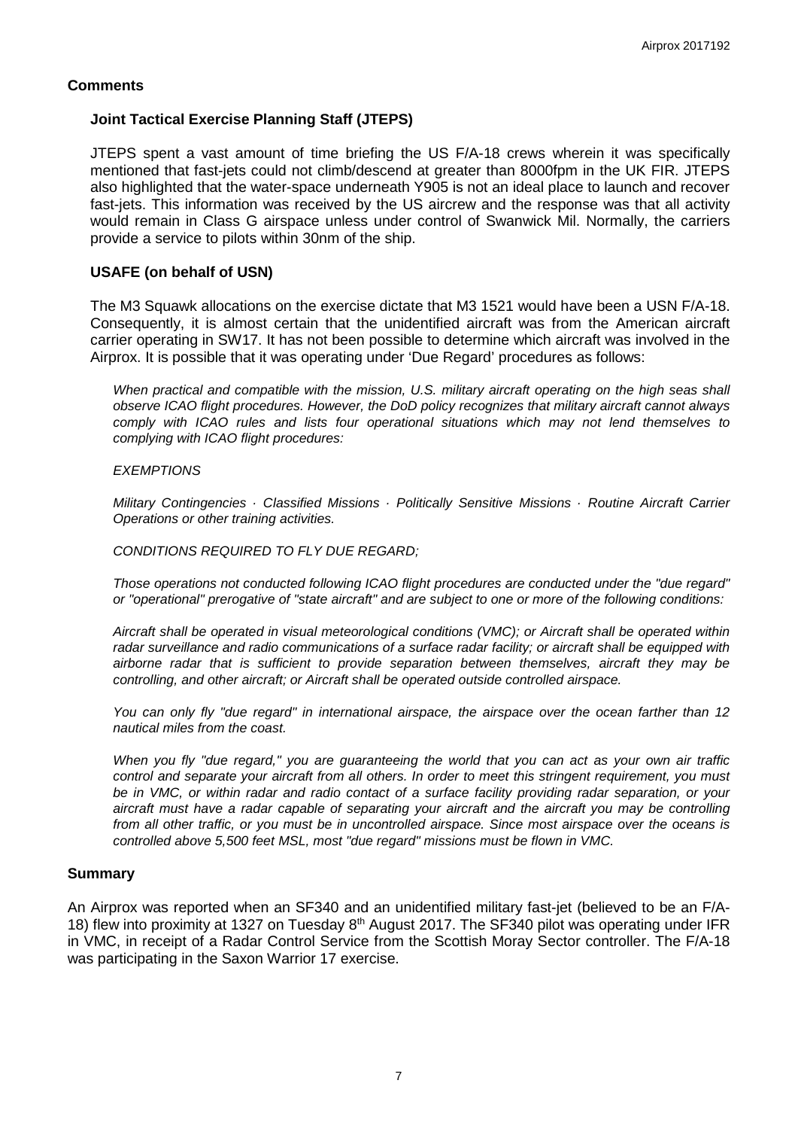## **Comments**

## **Joint Tactical Exercise Planning Staff (JTEPS)**

JTEPS spent a vast amount of time briefing the US F/A-18 crews wherein it was specifically mentioned that fast-jets could not climb/descend at greater than 8000fpm in the UK FIR. JTEPS also highlighted that the water-space underneath Y905 is not an ideal place to launch and recover fast-jets. This information was received by the US aircrew and the response was that all activity would remain in Class G airspace unless under control of Swanwick Mil. Normally, the carriers provide a service to pilots within 30nm of the ship.

### **USAFE (on behalf of USN)**

The M3 Squawk allocations on the exercise dictate that M3 1521 would have been a USN F/A-18. Consequently, it is almost certain that the unidentified aircraft was from the American aircraft carrier operating in SW17. It has not been possible to determine which aircraft was involved in the Airprox. It is possible that it was operating under 'Due Regard' procedures as follows:

*When practical and compatible with the mission, U.S. military aircraft operating on the high seas shall observe ICAO flight procedures. However, the DoD policy recognizes that military aircraft cannot always comply with ICAO rules and lists four operational situations which may not lend themselves to complying with ICAO flight procedures:*

#### *EXEMPTIONS*

*Military Contingencies · Classified Missions · Politically Sensitive Missions · Routine Aircraft Carrier Operations or other training activities.*

#### *CONDITIONS REQUIRED TO FLY DUE REGARD;*

*Those operations not conducted following ICAO flight procedures are conducted under the "due regard" or "operational" prerogative of "state aircraft" and are subject to one or more of the following conditions:*

*Aircraft shall be operated in visual meteorological conditions (VMC); or Aircraft shall be operated within radar surveillance and radio communications of a surface radar facility; or aircraft shall be equipped with airborne radar that is sufficient to provide separation between themselves, aircraft they may be controlling, and other aircraft; or Aircraft shall be operated outside controlled airspace.*

*You can only fly "due regard" in international airspace, the airspace over the ocean farther than 12 nautical miles from the coast.* 

*When you fly "due regard," you are guaranteeing the world that you can act as your own air traffic control and separate your aircraft from all others. In order to meet this stringent requirement, you must be in VMC, or within radar and radio contact of a surface facility providing radar separation, or your aircraft must have a radar capable of separating your aircraft and the aircraft you may be controlling from all other traffic, or you must be in uncontrolled airspace. Since most airspace over the oceans is controlled above 5,500 feet MSL, most "due regard" missions must be flown in VMC.*

#### **Summary**

An Airprox was reported when an SF340 and an unidentified military fast-jet (believed to be an F/A-18) flew into proximity at 1327 on Tuesday 8<sup>th</sup> August 2017. The SF340 pilot was operating under IFR in VMC, in receipt of a Radar Control Service from the Scottish Moray Sector controller. The F/A-18 was participating in the Saxon Warrior 17 exercise.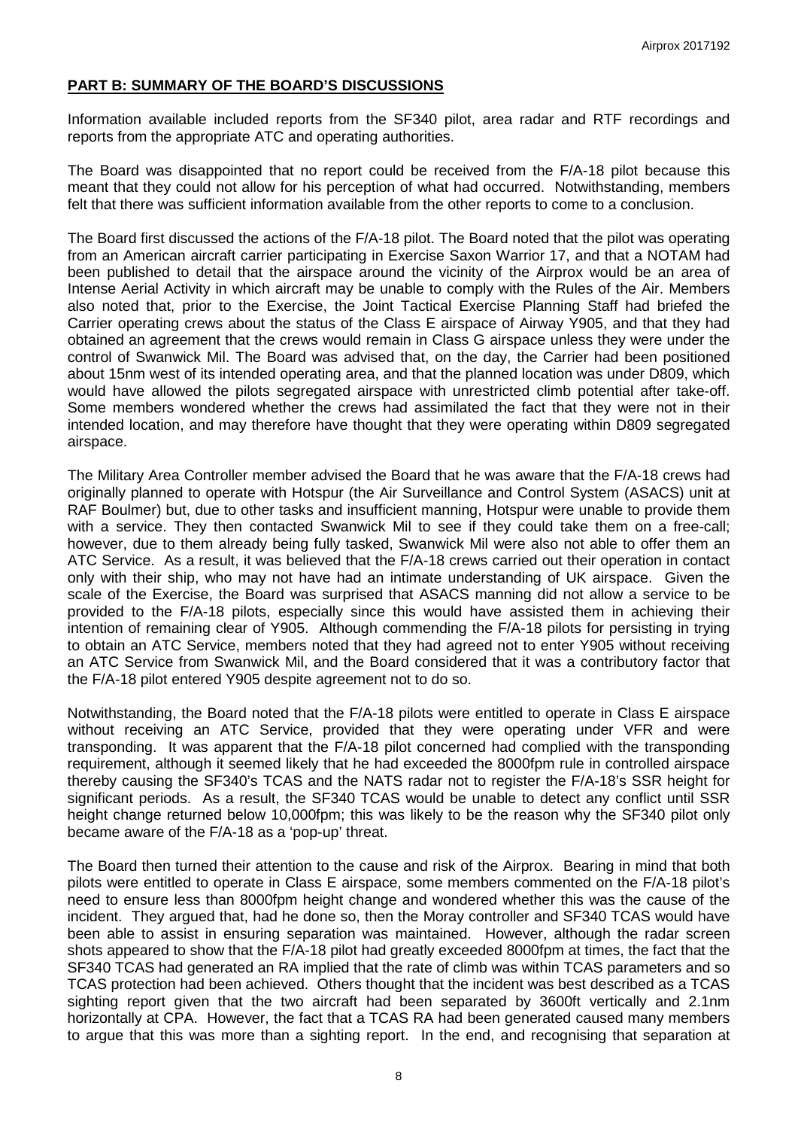## **PART B: SUMMARY OF THE BOARD'S DISCUSSIONS**

Information available included reports from the SF340 pilot, area radar and RTF recordings and reports from the appropriate ATC and operating authorities.

The Board was disappointed that no report could be received from the F/A-18 pilot because this meant that they could not allow for his perception of what had occurred. Notwithstanding, members felt that there was sufficient information available from the other reports to come to a conclusion.

The Board first discussed the actions of the F/A-18 pilot. The Board noted that the pilot was operating from an American aircraft carrier participating in Exercise Saxon Warrior 17, and that a NOTAM had been published to detail that the airspace around the vicinity of the Airprox would be an area of Intense Aerial Activity in which aircraft may be unable to comply with the Rules of the Air. Members also noted that, prior to the Exercise, the Joint Tactical Exercise Planning Staff had briefed the Carrier operating crews about the status of the Class E airspace of Airway Y905, and that they had obtained an agreement that the crews would remain in Class G airspace unless they were under the control of Swanwick Mil. The Board was advised that, on the day, the Carrier had been positioned about 15nm west of its intended operating area, and that the planned location was under D809, which would have allowed the pilots segregated airspace with unrestricted climb potential after take-off. Some members wondered whether the crews had assimilated the fact that they were not in their intended location, and may therefore have thought that they were operating within D809 segregated airspace.

The Military Area Controller member advised the Board that he was aware that the F/A-18 crews had originally planned to operate with Hotspur (the Air Surveillance and Control System (ASACS) unit at RAF Boulmer) but, due to other tasks and insufficient manning, Hotspur were unable to provide them with a service. They then contacted Swanwick Mil to see if they could take them on a free-call; however, due to them already being fully tasked, Swanwick Mil were also not able to offer them an ATC Service. As a result, it was believed that the F/A-18 crews carried out their operation in contact only with their ship, who may not have had an intimate understanding of UK airspace. Given the scale of the Exercise, the Board was surprised that ASACS manning did not allow a service to be provided to the F/A-18 pilots, especially since this would have assisted them in achieving their intention of remaining clear of Y905. Although commending the F/A-18 pilots for persisting in trying to obtain an ATC Service, members noted that they had agreed not to enter Y905 without receiving an ATC Service from Swanwick Mil, and the Board considered that it was a contributory factor that the F/A-18 pilot entered Y905 despite agreement not to do so.

Notwithstanding, the Board noted that the F/A-18 pilots were entitled to operate in Class E airspace without receiving an ATC Service, provided that they were operating under VFR and were transponding. It was apparent that the F/A-18 pilot concerned had complied with the transponding requirement, although it seemed likely that he had exceeded the 8000fpm rule in controlled airspace thereby causing the SF340's TCAS and the NATS radar not to register the F/A-18's SSR height for significant periods. As a result, the SF340 TCAS would be unable to detect any conflict until SSR height change returned below 10,000fpm; this was likely to be the reason why the SF340 pilot only became aware of the F/A-18 as a 'pop-up' threat.

The Board then turned their attention to the cause and risk of the Airprox. Bearing in mind that both pilots were entitled to operate in Class E airspace, some members commented on the F/A-18 pilot's need to ensure less than 8000fpm height change and wondered whether this was the cause of the incident. They argued that, had he done so, then the Moray controller and SF340 TCAS would have been able to assist in ensuring separation was maintained. However, although the radar screen shots appeared to show that the F/A-18 pilot had greatly exceeded 8000fpm at times, the fact that the SF340 TCAS had generated an RA implied that the rate of climb was within TCAS parameters and so TCAS protection had been achieved. Others thought that the incident was best described as a TCAS sighting report given that the two aircraft had been separated by 3600ft vertically and 2.1nm horizontally at CPA. However, the fact that a TCAS RA had been generated caused many members to argue that this was more than a sighting report. In the end, and recognising that separation at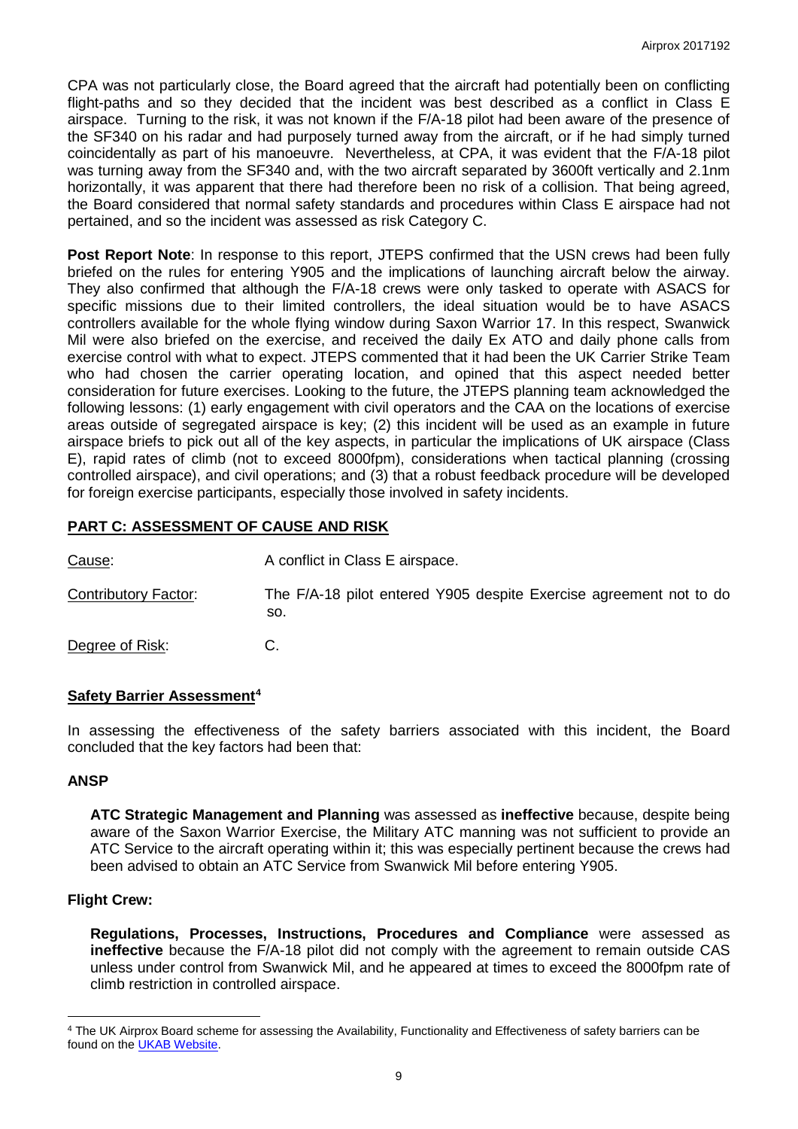CPA was not particularly close, the Board agreed that the aircraft had potentially been on conflicting flight-paths and so they decided that the incident was best described as a conflict in Class E airspace. Turning to the risk, it was not known if the F/A-18 pilot had been aware of the presence of the SF340 on his radar and had purposely turned away from the aircraft, or if he had simply turned coincidentally as part of his manoeuvre. Nevertheless, at CPA, it was evident that the F/A-18 pilot was turning away from the SF340 and, with the two aircraft separated by 3600ft vertically and 2.1nm horizontally, it was apparent that there had therefore been no risk of a collision. That being agreed, the Board considered that normal safety standards and procedures within Class E airspace had not pertained, and so the incident was assessed as risk Category C.

**Post Report Note**: In response to this report, JTEPS confirmed that the USN crews had been fully briefed on the rules for entering Y905 and the implications of launching aircraft below the airway. They also confirmed that although the F/A-18 crews were only tasked to operate with ASACS for specific missions due to their limited controllers, the ideal situation would be to have ASACS controllers available for the whole flying window during Saxon Warrior 17. In this respect, Swanwick Mil were also briefed on the exercise, and received the daily Ex ATO and daily phone calls from exercise control with what to expect. JTEPS commented that it had been the UK Carrier Strike Team who had chosen the carrier operating location, and opined that this aspect needed better consideration for future exercises. Looking to the future, the JTEPS planning team acknowledged the following lessons: (1) early engagement with civil operators and the CAA on the locations of exercise areas outside of segregated airspace is key; (2) this incident will be used as an example in future airspace briefs to pick out all of the key aspects, in particular the implications of UK airspace (Class E), rapid rates of climb (not to exceed 8000fpm), considerations when tactical planning (crossing controlled airspace), and civil operations; and (3) that a robust feedback procedure will be developed for foreign exercise participants, especially those involved in safety incidents.

# **PART C: ASSESSMENT OF CAUSE AND RISK**

| Cause:               | A conflict in Class E airspace.                                           |
|----------------------|---------------------------------------------------------------------------|
| Contributory Factor: | The F/A-18 pilot entered Y905 despite Exercise agreement not to do<br>SO. |

Degree of Risk: C.

## **Safety Barrier Assessment[4](#page-8-0)**

In assessing the effectiveness of the safety barriers associated with this incident, the Board concluded that the key factors had been that:

## **ANSP**

**ATC Strategic Management and Planning** was assessed as **ineffective** because, despite being aware of the Saxon Warrior Exercise, the Military ATC manning was not sufficient to provide an ATC Service to the aircraft operating within it; this was especially pertinent because the crews had been advised to obtain an ATC Service from Swanwick Mil before entering Y905.

#### **Flight Crew:**

l

**Regulations, Processes, Instructions, Procedures and Compliance** were assessed as **ineffective** because the F/A-18 pilot did not comply with the agreement to remain outside CAS unless under control from Swanwick Mil, and he appeared at times to exceed the 8000fpm rate of climb restriction in controlled airspace.

<span id="page-8-0"></span><sup>4</sup> The UK Airprox Board scheme for assessing the Availability, Functionality and Effectiveness of safety barriers can be found on the **UKAB Website**.